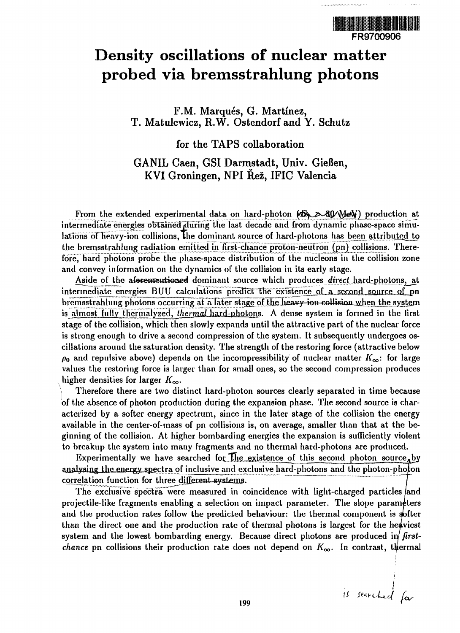# FR9700906

# **Density oscillations of nuclear matter probed via bremsstrahhmg photons**

F.M. Marqués, G. Martínez, T. Matulewicz, R.W. Ostendorf and Y. Schutz

#### for the TAPS collaboration

## GANIL Caen, GSI Darmstadt, Univ. Gießen, KVI Groningen, NPI Rez, IFIC Valencia

From the extended experimental data on hard-photon  $\mathscr{B}\rightarrow\mathscr{B}\rightarrow\mathscr{B}\rightarrow\mathscr{B}$  production at intermediate energies obtained during the last decade and from dynamic phase-space simulations of heavy-ion collisions, the dominant source of hard-photons has been attributed to the bremsstrahlung radiation emitted in first-chance proton-neutron (pn) collisions. Therefore, hard photons probe the phase-space distribution of the nucleons in the collision zone and convey information on the dynamics of the collision in its early stage.

Aside of the afexementioned dominant source which produces *direct* hard-photons, at intermediate energies  $BUV$  calculations predict the existence of a second source of pn bremsstrahlung photons occurring at a later stage of the heavy ion collision when the system is almost fully thermalyzed, *thermal* hard-photons. A deuse system is formed in the first stage of the collision, which then slowly expands until the attractive part of the nuclear force is strong enough to drive a second compression of the system. It subsequently undergoes oscillations around the saturation density. The strength of the restoring force (attractive below  $\rho_0$  and repulsive above) depends on the incompressibility of nuclear matter  $K_{\infty}$ : for large values the restoring force is larger than for small ones, so the second compression produces higher densities for larger  $K_{\infty}$ .

Therefore there are two distinct hard-photon sources clearly separated in time because of the absence of photon production during the expansion phase. The second source is characterized by a softer energy spectrum, since in the later stage of the collision the energy available in the center-of-mass of pn collisions is, on average, smaller than that at the beginning of the collision. At higher bombarding energies the expansion is sufficiently violent to breakup the system into many fragments and no thermal hard-photons are produced.

Experimentally we have searched for  $\exists$ lue existence of this second photon source, by analysing the energy spectra of inclusive and exclusive hard-photons and the photon-photon correlation function for three different systems.

The exclusive spectra were measured in coincidence with light-charged particles/and projectile-like fragments enabling a selection on impact parameter. The slope parameters and the production rates follow the predicted behaviour: the thermal component is softer than the direct one and the production rate of thermal photons is largest for the heaviest system and the lowest bombarding energy. Because direct photons are produced in/ *firstchance* pn collisions their production rate does not depend on  $K_{\infty}$ . In contrast, thermal

is searched for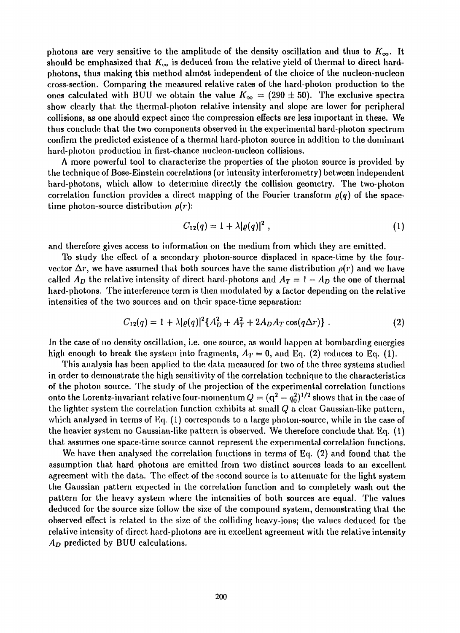photons are very sensitive to the amplitude of the density oscillation and thus to  $K_{\infty}$ . It should be emphasized that  $K_{\infty}$  is deduced from the relative yield of thermal to direct hardphotons, thus making this method almost independent of the choice of the nucleon-nucleon cross-section. Comparing the measured relative rates of the hard-photon production to the ones calculated with BUU we obtain the value  $K_{\infty} = (290 \pm 50)$ . The exclusive spectra show clearly that the thermal-photon relative intensity and slope are lower for peripheral collisions, as one should expect since the compression effects are less important in these. We thus conclude that the two components observed in the experimental hard-photon spectrum confirm the predicted existence of a thermal hard-photon source in addition to the dominant hard-photon production in first-chance nucleon-nucleon collisions.

A more powerful tool to characterize the properties of the photon source is provided by the technique of Bose-Einstein correlations (or intensity interferometry) between independent hard-photons, which allow to determine directly the collision geometry. The two-photon correlation function provides a direct mapping of the Fourier transform  $\rho(q)$  of the spacetime photon-source distribution *p(r):*

$$
C_{12}(q) = 1 + \lambda |\varrho(q)|^2 \t\t(1)
$$

and therefore gives access to information on the medium from which they are emitted.

To study the efFect of a secondary photon-source displaced in space-time by the fourvector  $\Delta r$ , we have assumed that both sources have the same distribution  $\rho(r)$  and we have called  $A_D$  the relative intensity of direct hard-photons and  $A_T = 1 - A_D$  the one of thermal hard-photons. The interference term is then modulated by a factor depending on the relative intensities of the two sources and on their space-time separation:

$$
C_{12}(q) = 1 + \lambda |\varrho(q)|^2 \{A_D^2 + A_T^2 + 2A_D A_T \cos(q\Delta r)\}.
$$
 (2)

In the case of no density oscillation, i.e. one source, as would happen at bombarding energies high enough to break the system into fragments,  $A_T = 0$ , and Eq. (2) reduces to Eq. (1).

This analysis has been applied to the data measured for two of the three systems studied in order to demonstrate the high sensitivity of the correlation technique to the characteristics of the photon source. The study of the projection of the experimental correlation functions onto the Lorentz-invariant relative four-momentum  $Q = ({\bf q}^2 - q_0^2)^{1/2}$  shows that in the case of the lighter system the correlation function exhibits at small *Q* a clear Gaussian-like pattern, which analysed in terms of Eq. (1) corresponds to a large photon-source, while in the case of the heavier system no Gaussian-like pattern is observed. We therefore conclude that Eq. (1) that assumes one space-time source cannot represent the experimental correlation functions.

We have then analysed the correlation functions in terms of Eq. (2) and found that the assumption that hard photons are emitted from two distinct sources leads to an excellent agreement with the data. The effect of the second source is to attenuate for the light system the Gaussian pattern expected in the correlation function and to completely wash out the pattern for the heavy system where the intensities of both sources are equal. The values deduced for the source size follow the size of the compound system, demonstrating that the observed effect is related to the size of the colliding heavy-ions; the values deduced for the relative intensity of direct hard-photons are in excellent agreement with the relative intensity *AD* predicted by BUU calculations.